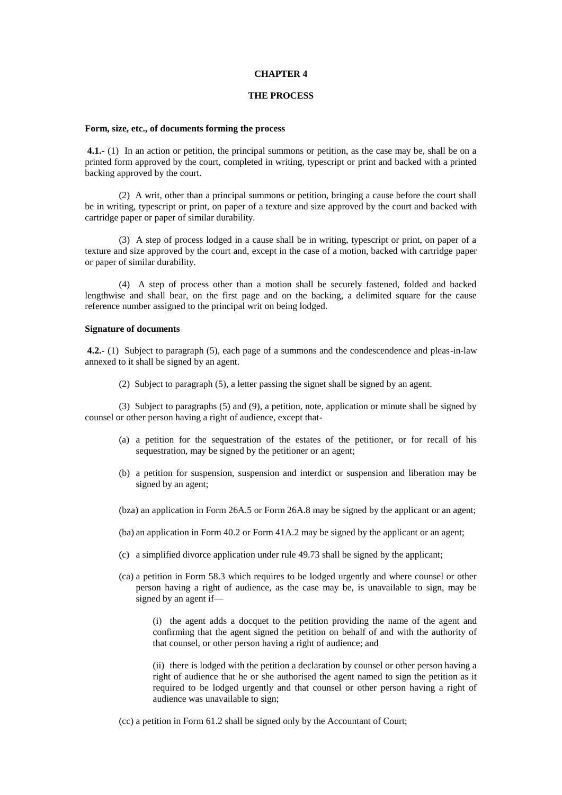### **CHAPTER 4**

#### **THE PROCESS**

### **Form, size, etc., of documents forming the process**

**4.1.-** (1) In an action or petition, the principal summons or petition, as the case may be, shall be on a printed form approved by the court, completed in writing, typescript or print and backed with a printed backing approved by the court.

(2) A writ, other than a principal summons or petition, bringing a cause before the court shall be in writing, typescript or print, on paper of a texture and size approved by the court and backed with cartridge paper or paper of similar durability.

(3) A step of process lodged in a cause shall be in writing, typescript or print, on paper of a texture and size approved by the court and, except in the case of a motion, backed with cartridge paper or paper of similar durability.

(4) A step of process other than a motion shall be securely fastened, folded and backed lengthwise and shall bear, on the first page and on the backing, a delimited square for the cause reference number assigned to the principal writ on being lodged.

## **Signature of documents**

**4.2.-** (1) Subject to paragraph (5), each page of a summons and the condescendence and pleas-in-law annexed to it shall be signed by an agent.

(2) Subject to paragraph (5), a letter passing the signet shall be signed by an agent.

(3) Subject to paragraphs (5) and (9), a petition, note, application or minute shall be signed by counsel or other person having a right of audience, except that-

- (a) a petition for the sequestration of the estates of the petitioner, or for recall of his sequestration, may be signed by the petitioner or an agent;
- (b) a petition for suspension, suspension and interdict or suspension and liberation may be signed by an agent;
- (bza) an application in Form 26A.5 or Form 26A.8 may be signed by the applicant or an agent;
- (ba) an application in Form 40.2 or Form 41A.2 may be signed by the applicant or an agent;
- (c) a simplified divorce application under rule 49.73 shall be signed by the applicant;
- (ca) a petition in Form 58.3 which requires to be lodged urgently and where counsel or other person having a right of audience, as the case may be, is unavailable to sign, may be signed by an agent if—

(i) the agent adds a docquet to the petition providing the name of the agent and confirming that the agent signed the petition on behalf of and with the authority of that counsel, or other person having a right of audience; and

(ii) there is lodged with the petition a declaration by counsel or other person having a right of audience that he or she authorised the agent named to sign the petition as it required to be lodged urgently and that counsel or other person having a right of audience was unavailable to sign;

(cc) a petition in Form 61.2 shall be signed only by the Accountant of Court;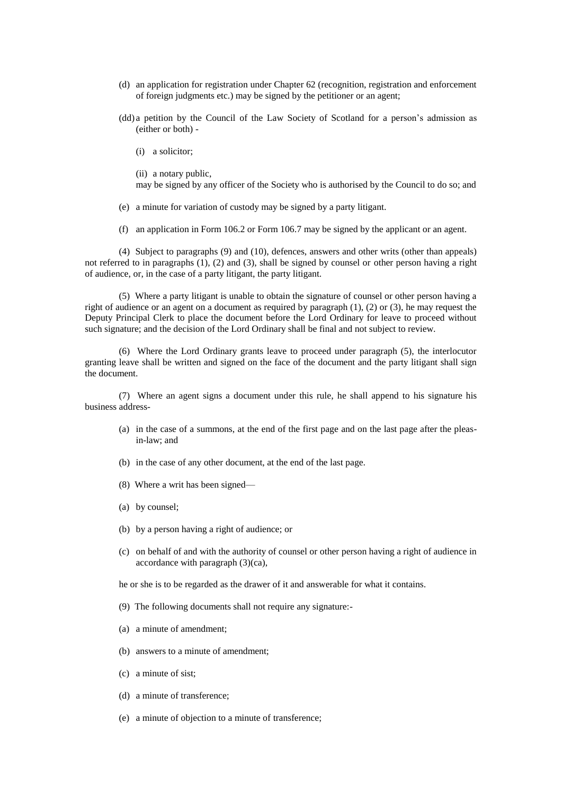- (d) an application for registration under Chapter 62 (recognition, registration and enforcement of foreign judgments etc.) may be signed by the petitioner or an agent;
- (dd) a petition by the Council of the Law Society of Scotland for a person's admission as (either or both) -
	- (i) a solicitor;

(ii) a notary public,

may be signed by any officer of the Society who is authorised by the Council to do so; and

- (e) a minute for variation of custody may be signed by a party litigant.
- (f) an application in Form 106.2 or Form 106.7 may be signed by the applicant or an agent.

(4) Subject to paragraphs (9) and (10), defences, answers and other writs (other than appeals) not referred to in paragraphs (1), (2) and (3), shall be signed by counsel or other person having a right of audience, or, in the case of a party litigant, the party litigant.

(5) Where a party litigant is unable to obtain the signature of counsel or other person having a right of audience or an agent on a document as required by paragraph  $(1)$ ,  $(2)$  or  $(3)$ , he may request the Deputy Principal Clerk to place the document before the Lord Ordinary for leave to proceed without such signature; and the decision of the Lord Ordinary shall be final and not subject to review.

(6) Where the Lord Ordinary grants leave to proceed under paragraph (5), the interlocutor granting leave shall be written and signed on the face of the document and the party litigant shall sign the document.

(7) Where an agent signs a document under this rule, he shall append to his signature his business address-

- (a) in the case of a summons, at the end of the first page and on the last page after the pleasin-law; and
- (b) in the case of any other document, at the end of the last page.
- (8) Where a writ has been signed—
- (a) by counsel;
- (b) by a person having a right of audience; or
- (c) on behalf of and with the authority of counsel or other person having a right of audience in accordance with paragraph (3)(ca),

he or she is to be regarded as the drawer of it and answerable for what it contains.

- (9) The following documents shall not require any signature:-
- (a) a minute of amendment;
- (b) answers to a minute of amendment;
- (c) a minute of sist;
- (d) a minute of transference;
- (e) a minute of objection to a minute of transference;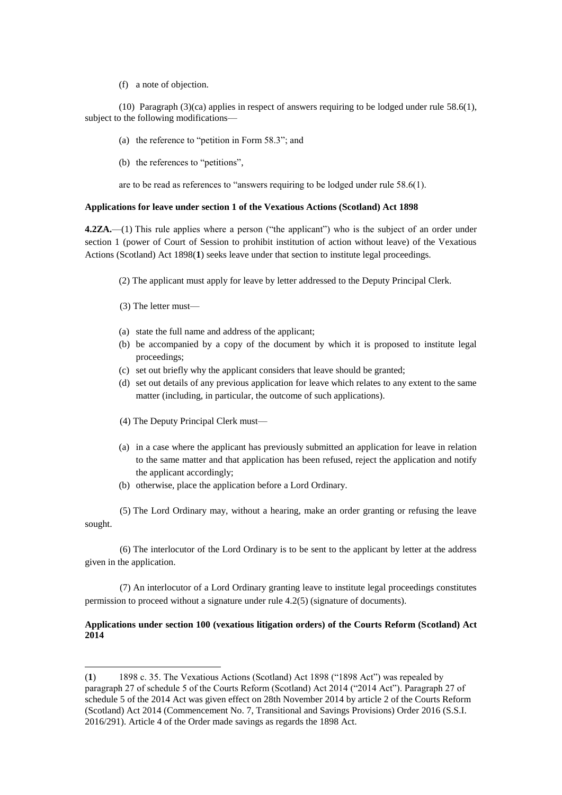(f) a note of objection.

(10) Paragraph (3)(ca) applies in respect of answers requiring to be lodged under rule 58.6(1), subject to the following modifications—

- (a) the reference to "petition in Form 58.3"; and
- (b) the references to "petitions",

are to be read as references to "answers requiring to be lodged under rule 58.6(1).

## **Applications for leave under section 1 of the Vexatious Actions (Scotland) Act 1898**

**4.2ZA.**—(1) This rule applies where a person ("the applicant") who is the subject of an order under section 1 (power of Court of Session to prohibit institution of action without leave) of the Vexatious Actions (Scotland) Act 1898(**1**) seeks leave under that section to institute legal proceedings.

(2) The applicant must apply for leave by letter addressed to the Deputy Principal Clerk.

(3) The letter must—

 $\overline{a}$ 

- (a) state the full name and address of the applicant;
- (b) be accompanied by a copy of the document by which it is proposed to institute legal proceedings;
- (c) set out briefly why the applicant considers that leave should be granted;
- (d) set out details of any previous application for leave which relates to any extent to the same matter (including, in particular, the outcome of such applications).
- (4) The Deputy Principal Clerk must—
- (a) in a case where the applicant has previously submitted an application for leave in relation to the same matter and that application has been refused, reject the application and notify the applicant accordingly;
- (b) otherwise, place the application before a Lord Ordinary.

(5) The Lord Ordinary may, without a hearing, make an order granting or refusing the leave sought.

(6) The interlocutor of the Lord Ordinary is to be sent to the applicant by letter at the address given in the application.

(7) An interlocutor of a Lord Ordinary granting leave to institute legal proceedings constitutes permission to proceed without a signature under rule 4.2(5) (signature of documents).

# **Applications under section 100 (vexatious litigation orders) of the Courts Reform (Scotland) Act 2014**

<sup>(</sup>**1**) 1898 c. 35. The Vexatious Actions (Scotland) Act 1898 ("1898 Act") was repealed by paragraph 27 of schedule 5 of the Courts Reform (Scotland) Act 2014 ("2014 Act"). Paragraph 27 of schedule 5 of the 2014 Act was given effect on 28th November 2014 by article 2 of the Courts Reform (Scotland) Act 2014 (Commencement No. 7, Transitional and Savings Provisions) Order 2016 (S.S.I. 2016/291). Article 4 of the Order made savings as regards the 1898 Act.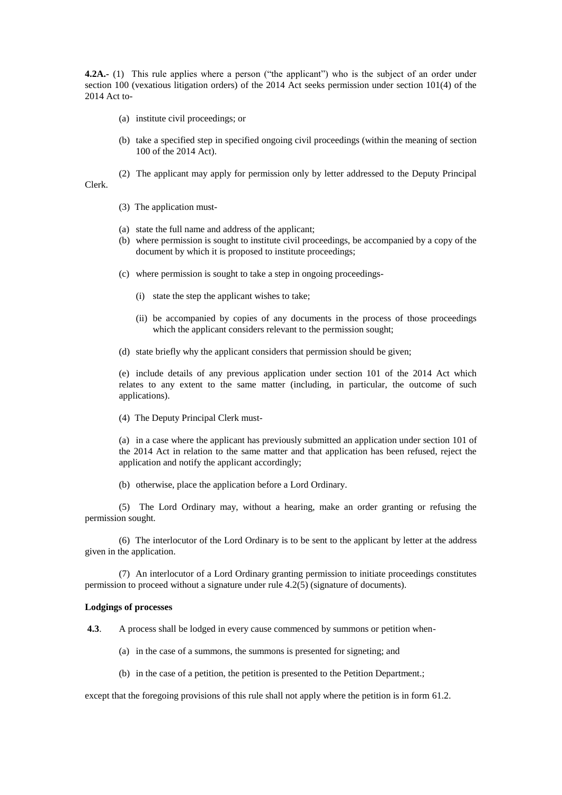**4.2A.-** (1) This rule applies where a person ("the applicant") who is the subject of an order under section 100 (vexatious litigation orders) of the 2014 Act seeks permission under section 101(4) of the 2014 Act to-

- (a) institute civil proceedings; or
- (b) take a specified step in specified ongoing civil proceedings (within the meaning of section 100 of the 2014 Act).
- (2) The applicant may apply for permission only by letter addressed to the Deputy Principal
- 

Clerk.

- (3) The application must-
- (a) state the full name and address of the applicant;
- (b) where permission is sought to institute civil proceedings, be accompanied by a copy of the document by which it is proposed to institute proceedings;
- (c) where permission is sought to take a step in ongoing proceedings-
	- (i) state the step the applicant wishes to take;
	- (ii) be accompanied by copies of any documents in the process of those proceedings which the applicant considers relevant to the permission sought;
- (d) state briefly why the applicant considers that permission should be given;

(e) include details of any previous application under section 101 of the 2014 Act which relates to any extent to the same matter (including, in particular, the outcome of such applications).

(4) The Deputy Principal Clerk must-

(a) in a case where the applicant has previously submitted an application under section 101 of the 2014 Act in relation to the same matter and that application has been refused, reject the application and notify the applicant accordingly;

(b) otherwise, place the application before a Lord Ordinary.

(5) The Lord Ordinary may, without a hearing, make an order granting or refusing the permission sought.

(6) The interlocutor of the Lord Ordinary is to be sent to the applicant by letter at the address given in the application.

(7) An interlocutor of a Lord Ordinary granting permission to initiate proceedings constitutes permission to proceed without a signature under rule 4.2(5) (signature of documents).

### **Lodgings of processes**

**4.3**. A process shall be lodged in every cause commenced by summons or petition when-

- (a) in the case of a summons, the summons is presented for signeting; and
- (b) in the case of a petition, the petition is presented to the Petition Department.;

except that the foregoing provisions of this rule shall not apply where the petition is in form 61.2.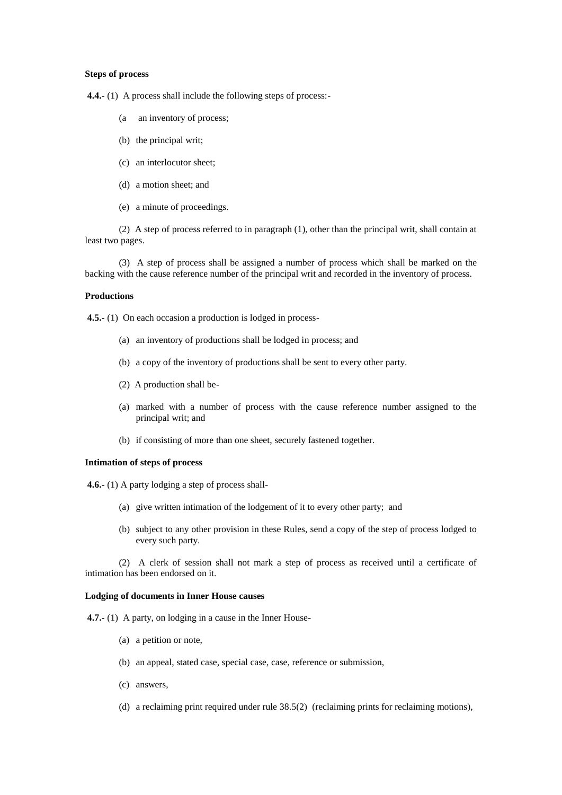#### **Steps of process**

**4.4.-** (1) A process shall include the following steps of process:-

- (a an inventory of process;
- (b) the principal writ;
- (c) an interlocutor sheet;
- (d) a motion sheet; and
- (e) a minute of proceedings.

(2) A step of process referred to in paragraph (1), other than the principal writ, shall contain at least two pages.

(3) A step of process shall be assigned a number of process which shall be marked on the backing with the cause reference number of the principal writ and recorded in the inventory of process.

### **Productions**

**4.5.-** (1) On each occasion a production is lodged in process-

- (a) an inventory of productions shall be lodged in process; and
- (b) a copy of the inventory of productions shall be sent to every other party.
- (2) A production shall be-
- (a) marked with a number of process with the cause reference number assigned to the principal writ; and
- (b) if consisting of more than one sheet, securely fastened together.

### **Intimation of steps of process**

**4.6.-** (1) A party lodging a step of process shall-

- (a) give written intimation of the lodgement of it to every other party; and
- (b) subject to any other provision in these Rules, send a copy of the step of process lodged to every such party.

(2) A clerk of session shall not mark a step of process as received until a certificate of intimation has been endorsed on it.

# **Lodging of documents in Inner House causes**

**4.7.-** (1) A party, on lodging in a cause in the Inner House-

- (a) a petition or note,
- (b) an appeal, stated case, special case, case, reference or submission,
- (c) answers,
- (d) a reclaiming print required under rule 38.5(2) (reclaiming prints for reclaiming motions),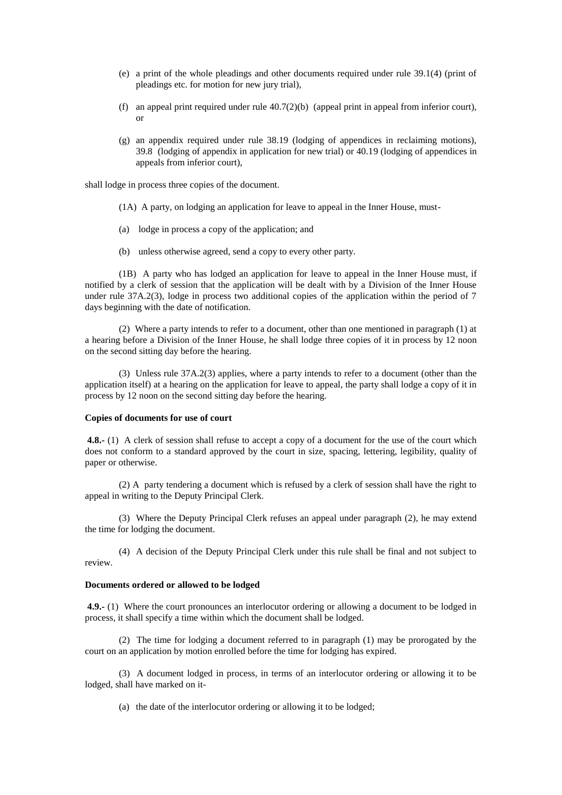- (e) a print of the whole pleadings and other documents required under rule 39.1(4) (print of pleadings etc. for motion for new jury trial),
- (f) an appeal print required under rule 40.7(2)(b) (appeal print in appeal from inferior court), or
- (g) an appendix required under rule 38.19 (lodging of appendices in reclaiming motions), 39.8 (lodging of appendix in application for new trial) or 40.19 (lodging of appendices in appeals from inferior court),

shall lodge in process three copies of the document.

- (1A) A party, on lodging an application for leave to appeal in the Inner House, must-
- (a) lodge in process a copy of the application; and
- (b) unless otherwise agreed, send a copy to every other party.

(1B) A party who has lodged an application for leave to appeal in the Inner House must, if notified by a clerk of session that the application will be dealt with by a Division of the Inner House under rule 37A.2(3), lodge in process two additional copies of the application within the period of 7 days beginning with the date of notification.

(2) Where a party intends to refer to a document, other than one mentioned in paragraph (1) at a hearing before a Division of the Inner House, he shall lodge three copies of it in process by 12 noon on the second sitting day before the hearing.

(3) Unless rule 37A.2(3) applies, where a party intends to refer to a document (other than the application itself) at a hearing on the application for leave to appeal, the party shall lodge a copy of it in process by 12 noon on the second sitting day before the hearing.

# **Copies of documents for use of court**

**4.8.-** (1) A clerk of session shall refuse to accept a copy of a document for the use of the court which does not conform to a standard approved by the court in size, spacing, lettering, legibility, quality of paper or otherwise.

(2) A party tendering a document which is refused by a clerk of session shall have the right to appeal in writing to the Deputy Principal Clerk.

(3) Where the Deputy Principal Clerk refuses an appeal under paragraph (2), he may extend the time for lodging the document.

(4) A decision of the Deputy Principal Clerk under this rule shall be final and not subject to review.

# **Documents ordered or allowed to be lodged**

**4.9.-** (1) Where the court pronounces an interlocutor ordering or allowing a document to be lodged in process, it shall specify a time within which the document shall be lodged.

(2) The time for lodging a document referred to in paragraph (1) may be prorogated by the court on an application by motion enrolled before the time for lodging has expired.

(3) A document lodged in process, in terms of an interlocutor ordering or allowing it to be lodged, shall have marked on it-

(a) the date of the interlocutor ordering or allowing it to be lodged;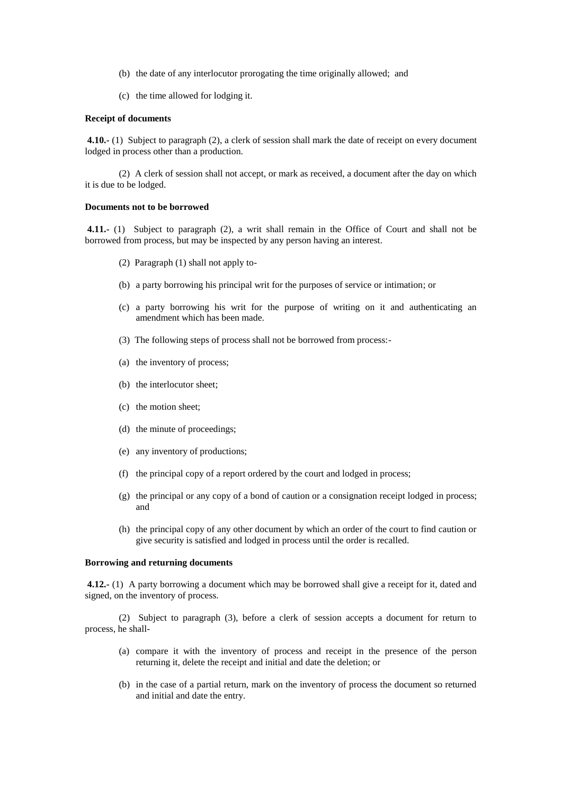- (b) the date of any interlocutor prorogating the time originally allowed; and
- (c) the time allowed for lodging it.

## **Receipt of documents**

**4.10.-** (1) Subject to paragraph (2), a clerk of session shall mark the date of receipt on every document lodged in process other than a production.

(2) A clerk of session shall not accept, or mark as received, a document after the day on which it is due to be lodged.

### **Documents not to be borrowed**

**4.11.-** (1) Subject to paragraph (2), a writ shall remain in the Office of Court and shall not be borrowed from process, but may be inspected by any person having an interest.

- (2) Paragraph (1) shall not apply to-
- (b) a party borrowing his principal writ for the purposes of service or intimation; or
- (c) a party borrowing his writ for the purpose of writing on it and authenticating an amendment which has been made.
- (3) The following steps of process shall not be borrowed from process:-
- (a) the inventory of process;
- (b) the interlocutor sheet;
- (c) the motion sheet;
- (d) the minute of proceedings;
- (e) any inventory of productions;
- (f) the principal copy of a report ordered by the court and lodged in process;
- (g) the principal or any copy of a bond of caution or a consignation receipt lodged in process; and
- (h) the principal copy of any other document by which an order of the court to find caution or give security is satisfied and lodged in process until the order is recalled.

### **Borrowing and returning documents**

**4.12.-** (1) A party borrowing a document which may be borrowed shall give a receipt for it, dated and signed, on the inventory of process.

(2) Subject to paragraph (3), before a clerk of session accepts a document for return to process, he shall-

- (a) compare it with the inventory of process and receipt in the presence of the person returning it, delete the receipt and initial and date the deletion; or
- (b) in the case of a partial return, mark on the inventory of process the document so returned and initial and date the entry.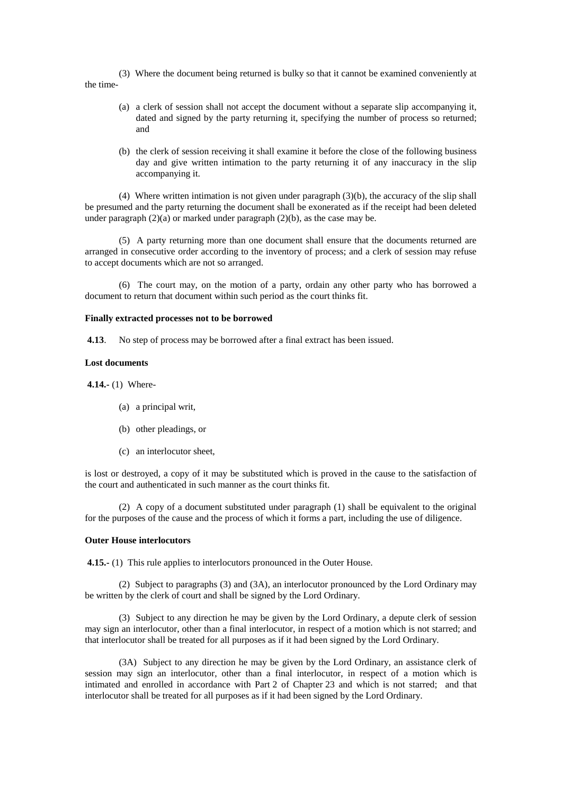(3) Where the document being returned is bulky so that it cannot be examined conveniently at the time-

- (a) a clerk of session shall not accept the document without a separate slip accompanying it, dated and signed by the party returning it, specifying the number of process so returned; and
- (b) the clerk of session receiving it shall examine it before the close of the following business day and give written intimation to the party returning it of any inaccuracy in the slip accompanying it.

(4) Where written intimation is not given under paragraph (3)(b), the accuracy of the slip shall be presumed and the party returning the document shall be exonerated as if the receipt had been deleted under paragraph  $(2)(a)$  or marked under paragraph  $(2)(b)$ , as the case may be.

(5) A party returning more than one document shall ensure that the documents returned are arranged in consecutive order according to the inventory of process; and a clerk of session may refuse to accept documents which are not so arranged.

(6) The court may, on the motion of a party, ordain any other party who has borrowed a document to return that document within such period as the court thinks fit.

## **Finally extracted processes not to be borrowed**

**4.13**. No step of process may be borrowed after a final extract has been issued.

#### **Lost documents**

**4.14.-** (1) Where-

- (a) a principal writ,
- (b) other pleadings, or
- (c) an interlocutor sheet,

is lost or destroyed, a copy of it may be substituted which is proved in the cause to the satisfaction of the court and authenticated in such manner as the court thinks fit.

(2) A copy of a document substituted under paragraph (1) shall be equivalent to the original for the purposes of the cause and the process of which it forms a part, including the use of diligence.

#### **Outer House interlocutors**

**4.15.-** (1) This rule applies to interlocutors pronounced in the Outer House.

(2) Subject to paragraphs (3) and (3A), an interlocutor pronounced by the Lord Ordinary may be written by the clerk of court and shall be signed by the Lord Ordinary.

(3) Subject to any direction he may be given by the Lord Ordinary, a depute clerk of session may sign an interlocutor, other than a final interlocutor, in respect of a motion which is not starred; and that interlocutor shall be treated for all purposes as if it had been signed by the Lord Ordinary.

(3A) Subject to any direction he may be given by the Lord Ordinary, an assistance clerk of session may sign an interlocutor, other than a final interlocutor, in respect of a motion which is intimated and enrolled in accordance with Part 2 of Chapter 23 and which is not starred; and that interlocutor shall be treated for all purposes as if it had been signed by the Lord Ordinary.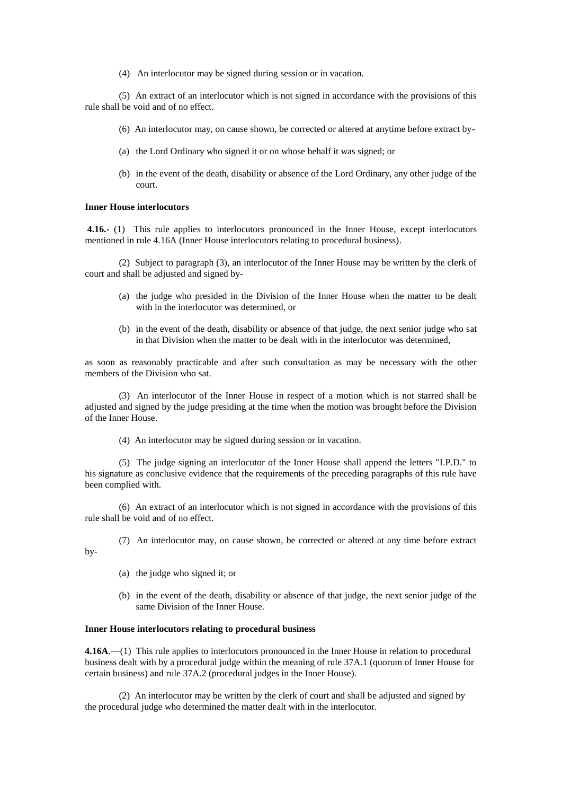(4) An interlocutor may be signed during session or in vacation.

(5) An extract of an interlocutor which is not signed in accordance with the provisions of this rule shall be void and of no effect.

- (6) An interlocutor may, on cause shown, be corrected or altered at anytime before extract by-
- (a) the Lord Ordinary who signed it or on whose behalf it was signed; or
- (b) in the event of the death, disability or absence of the Lord Ordinary, any other judge of the court.

## **Inner House interlocutors**

**4.16.-** (1) This rule applies to interlocutors pronounced in the Inner House, except interlocutors mentioned in rule 4.16A (Inner House interlocutors relating to procedural business).

(2) Subject to paragraph (3), an interlocutor of the Inner House may be written by the clerk of court and shall be adjusted and signed by-

- (a) the judge who presided in the Division of the Inner House when the matter to be dealt with in the interlocutor was determined, or
- (b) in the event of the death, disability or absence of that judge, the next senior judge who sat in that Division when the matter to be dealt with in the interlocutor was determined,

as soon as reasonably practicable and after such consultation as may be necessary with the other members of the Division who sat.

(3) An interlocutor of the Inner House in respect of a motion which is not starred shall be adjusted and signed by the judge presiding at the time when the motion was brought before the Division of the Inner House.

(4) An interlocutor may be signed during session or in vacation.

(5) The judge signing an interlocutor of the Inner House shall append the letters "I.P.D." to his signature as conclusive evidence that the requirements of the preceding paragraphs of this rule have been complied with.

(6) An extract of an interlocutor which is not signed in accordance with the provisions of this rule shall be void and of no effect.

- (7) An interlocutor may, on cause shown, be corrected or altered at any time before extract
	- (a) the judge who signed it; or

by-

(b) in the event of the death, disability or absence of that judge, the next senior judge of the same Division of the Inner House.

# **Inner House interlocutors relating to procedural business**

**4.16A**.—(1) This rule applies to interlocutors pronounced in the Inner House in relation to procedural business dealt with by a procedural judge within the meaning of rule 37A.1 (quorum of Inner House for certain business) and rule 37A.2 (procedural judges in the Inner House).

(2) An interlocutor may be written by the clerk of court and shall be adjusted and signed by the procedural judge who determined the matter dealt with in the interlocutor.